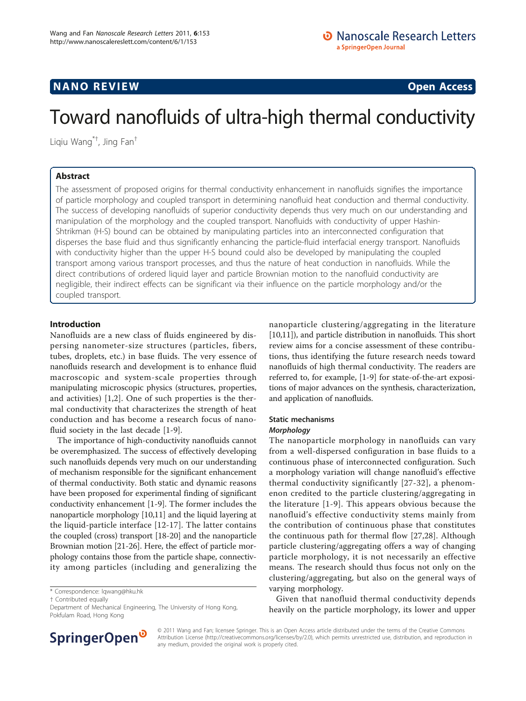# **NANO REVIEW CONTROL** CONTROL CONTROL CONTROL CONTROL CONTROL CONTROL CONTROL CONTROL CONTROL CONTROL CONTROL CONTROL CONTROL CONTROL CONTROL CONTROL CONTROL CONTROL CONTROL CONTROL CONTROL CONTROL CONTROL CONTROL CONTROL

# Toward nanofluids of ultra-high thermal conductivity

Liqiu Wang\*† , Jing Fan†

# Abstract

The assessment of proposed origins for thermal conductivity enhancement in nanofluids signifies the importance of particle morphology and coupled transport in determining nanofluid heat conduction and thermal conductivity. The success of developing nanofluids of superior conductivity depends thus very much on our understanding and manipulation of the morphology and the coupled transport. Nanofluids with conductivity of upper Hashin-Shtrikman (H-S) bound can be obtained by manipulating particles into an interconnected configuration that disperses the base fluid and thus significantly enhancing the particle-fluid interfacial energy transport. Nanofluids with conductivity higher than the upper H-S bound could also be developed by manipulating the coupled transport among various transport processes, and thus the nature of heat conduction in nanofluids. While the direct contributions of ordered liquid layer and particle Brownian motion to the nanofluid conductivity are negligible, their indirect effects can be significant via their influence on the particle morphology and/or the coupled transport.

## Introduction

Nanofluids are a new class of fluids engineered by dispersing nanometer-size structures (particles, fibers, tubes, droplets, etc.) in base fluids. The very essence of nanofluids research and development is to enhance fluid macroscopic and system-scale properties through manipulating microscopic physics (structures, properties, and activities) [[1,2\]](#page-7-0). One of such properties is the thermal conductivity that characterizes the strength of heat conduction and has become a research focus of nanofluid society in the last decade [[1-9](#page-7-0)].

The importance of high-conductivity nanofluids cannot be overemphasized. The success of effectively developing such nanofluids depends very much on our understanding of mechanism responsible for the significant enhancement of thermal conductivity. Both static and dynamic reasons have been proposed for experimental finding of significant conductivity enhancement [\[1](#page-7-0)-[9\]](#page-7-0). The former includes the nanoparticle morphology [\[10,11\]](#page-7-0) and the liquid layering at the liquid-particle interface [[12](#page-7-0)-[17](#page-7-0)]. The latter contains the coupled (cross) transport [[18-20\]](#page-7-0) and the nanoparticle Brownian motion [[21](#page-7-0)-[26](#page-7-0)]. Here, the effect of particle morphology contains those from the particle shape, connectivity among particles (including and generalizing the

† Contributed equally



## Static mechanisms Morphology

The nanoparticle morphology in nanofluids can vary from a well-dispersed configuration in base fluids to a continuous phase of interconnected configuration. Such a morphology variation will change nanofluid's effective thermal conductivity significantly [[27](#page-7-0)-[32](#page-7-0)], a phenomenon credited to the particle clustering/aggregating in the literature [[1-9\]](#page-7-0). This appears obvious because the nanofluid's effective conductivity stems mainly from the contribution of continuous phase that constitutes the continuous path for thermal flow [\[27](#page-7-0),[28\]](#page-7-0). Although particle clustering/aggregating offers a way of changing particle morphology, it is not necessarily an effective means. The research should thus focus not only on the clustering/aggregating, but also on the general ways of varying morphology.

Given that nanofluid thermal conductivity depends heavily on the particle morphology, its lower and upper



© 2011 Wang and Fan; licensee Springer. This is an Open Access article distributed under the terms of the Creative Commons Attribution License [\(http://creativecommons.org/licenses/by/2.0](http://creativecommons.org/licenses/by/2.0)), which permits unrestricted use, distribution, and reproduction in any medium, provided the original work is properly cited.

<sup>\*</sup> Correspondence: [lqwang@hku.hk](mailto:lqwang@hku.hk)

Department of Mechanical Engineering, The University of Hong Kong, Pokfulam Road, Hong Kong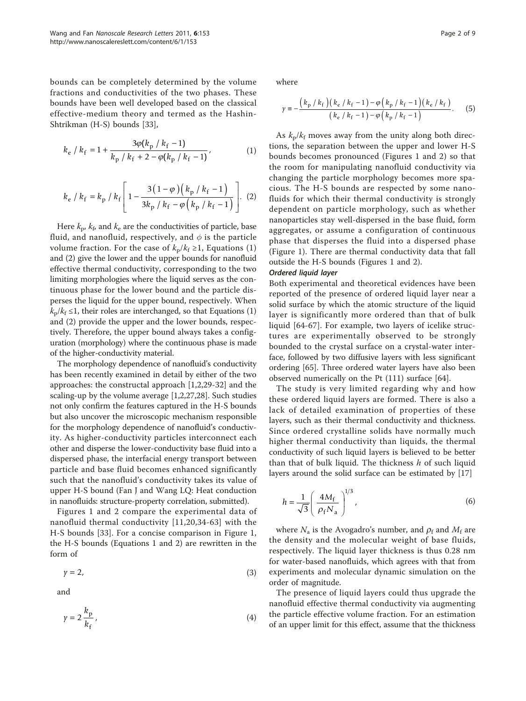bounds can be completely determined by the volume fractions and conductivities of the two phases. These bounds have been well developed based on the classical effective-medium theory and termed as the Hashin-Shtrikman (H-S) bounds [\[33\]](#page-7-0),

$$
k_{\rm e} / k_{\rm f} = 1 + \frac{3\varphi(k_{\rm p} / k_{\rm f} - 1)}{k_{\rm p} / k_{\rm f} + 2 - \varphi(k_{\rm p} / k_{\rm f} - 1)},\tag{1}
$$

$$
k_{\rm e} / k_{\rm f} = k_{\rm p} / k_{\rm f} \left[ 1 - \frac{3(1 - \varphi) (k_{\rm p} / k_{\rm f} - 1)}{3k_{\rm p} / k_{\rm f} - \varphi (k_{\rm p} / k_{\rm f} - 1)} \right].
$$
 (2)

Here  $k_p$ ,  $k_f$ , and  $k_e$  are the conductivities of particle, base fluid, and nanofluid, respectively, and  $\phi$  is the particle volume fraction. For the case of  $k_p/k_f \geq 1$ , Equations (1) and (2) give the lower and the upper bounds for nanofluid effective thermal conductivity, corresponding to the two limiting morphologies where the liquid serves as the continuous phase for the lower bound and the particle disperses the liquid for the upper bound, respectively. When  $k_p/k_f \leq 1$ , their roles are interchanged, so that Equations (1) and (2) provide the upper and the lower bounds, respectively. Therefore, the upper bound always takes a configuration (morphology) where the continuous phase is made of the higher-conductivity material.

The morphology dependence of nanofluid's conductivity has been recently examined in detail by either of the two approaches: the constructal approach [\[1,2,29](#page-7-0)-[32\]](#page-7-0) and the scaling-up by the volume average [[1,2,27,28](#page-7-0)]. Such studies not only confirm the features captured in the H-S bounds but also uncover the microscopic mechanism responsible for the morphology dependence of nanofluid's conductivity. As higher-conductivity particles interconnect each other and disperse the lower-conductivity base fluid into a dispersed phase, the interfacial energy transport between particle and base fluid becomes enhanced significantly such that the nanofluid's conductivity takes its value of upper H-S bound (Fan J and Wang LQ: Heat conduction in nanofluids: structure-property correlation, submitted).

Figures [1](#page-2-0) and [2](#page-3-0) compare the experimental data of nanofluid thermal conductivity [[11](#page-7-0),[20,34-](#page-7-0)[63\]](#page-8-0) with the H-S bounds [\[33](#page-7-0)]. For a concise comparison in Figure [1](#page-2-0), the H-S bounds (Equations 1 and 2) are rewritten in the form of

$$
\gamma = 2,\tag{3}
$$

and

$$
y = 2\frac{k_{\rm p}}{k_{\rm f}}\,,\tag{4}
$$

where

$$
\gamma = -\frac{(k_{\rm p} / k_{\rm f}) (k_{\rm e} / k_{\rm f} - 1) - \varphi (k_{\rm p} / k_{\rm f} - 1) (k_{\rm e} / k_{\rm f})}{(k_{\rm e} / k_{\rm f} - 1) - \varphi (k_{\rm p} / k_{\rm f} - 1)}.
$$
 (5)

As  $k_p/k_f$  moves away from the unity along both directions, the separation between the upper and lower H-S bounds becomes pronounced (Figures [1](#page-2-0) and [2\)](#page-3-0) so that the room for manipulating nanofluid conductivity via changing the particle morphology becomes more spacious. The H-S bounds are respected by some nanofluids for which their thermal conductivity is strongly dependent on particle morphology, such as whether nanoparticles stay well-dispersed in the base fluid, form aggregates, or assume a configuration of continuous phase that disperses the fluid into a dispersed phase (Figure [1](#page-2-0)). There are thermal conductivity data that fall outside the H-S bounds (Figures [1](#page-2-0) and [2\)](#page-3-0).

#### Ordered liquid layer

Both experimental and theoretical evidences have been reported of the presence of ordered liquid layer near a solid surface by which the atomic structure of the liquid layer is significantly more ordered than that of bulk liquid [[64-67](#page-8-0)]. For example, two layers of icelike structures are experimentally observed to be strongly bounded to the crystal surface on a crystal-water interface, followed by two diffusive layers with less significant ordering [[65\]](#page-8-0). Three ordered water layers have also been observed numerically on the Pt (111) surface [[64\]](#page-8-0).

The study is very limited regarding why and how these ordered liquid layers are formed. There is also a lack of detailed examination of properties of these layers, such as their thermal conductivity and thickness. Since ordered crystalline solids have normally much higher thermal conductivity than liquids, the thermal conductivity of such liquid layers is believed to be better than that of bulk liquid. The thickness  $h$  of such liquid layers around the solid surface can be estimated by [[17\]](#page-7-0)

$$
h = \frac{1}{\sqrt{3}} \left( \frac{4M_f}{\rho_f N_a} \right)^{1/3},\tag{6}
$$

where  $N_a$  is the Avogadro's number, and  $\rho_f$  and  $M_f$  are the density and the molecular weight of base fluids, respectively. The liquid layer thickness is thus 0.28 nm for water-based nanofluids, which agrees with that from experiments and molecular dynamic simulation on the order of magnitude.

The presence of liquid layers could thus upgrade the nanofluid effective thermal conductivity via augmenting the particle effective volume fraction. For an estimation of an upper limit for this effect, assume that the thickness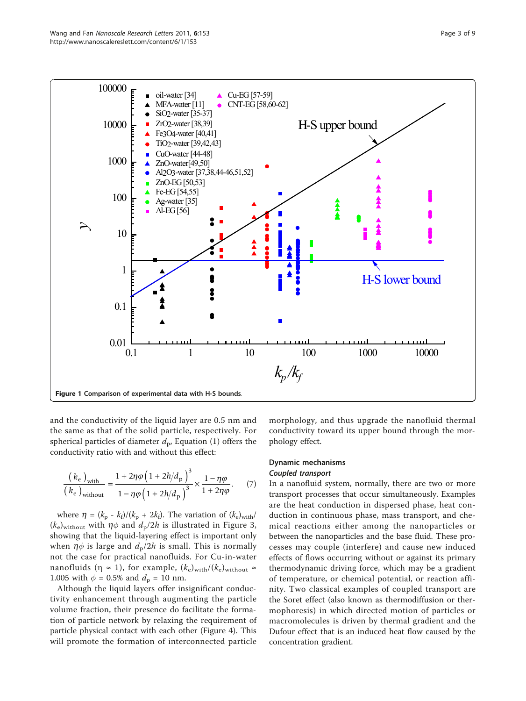<span id="page-2-0"></span>

and the conductivity of the liquid layer are 0.5 nm and the same as that of the solid particle, respectively. For spherical particles of diameter  $d_p$ , Equation (1) offers the conductivity ratio with and without this effect:

$$
\frac{(k_e)_{\text{with}}}{(k_e)_{\text{without}}} = \frac{1 + 2\eta\varphi \left(1 + 2h/d_p\right)^3}{1 - \eta\varphi \left(1 + 2h/d_p\right)^3} \times \frac{1 - \eta\varphi}{1 + 2\eta\varphi}.
$$
 (7)

where  $\eta = (k_p - k_f)/(k_p + 2k_f)$ . The variation of  $(k_e)_{with}$  $(k_e)_{\text{without}}$  with  $\eta \phi$  and  $d_p/2h$  is illustrated in Figure [3](#page-4-0), showing that the liquid-layering effect is important only when  $\eta \phi$  is large and  $d_p/2h$  is small. This is normally not the case for practical nanofluids. For Cu-in-water nanofluids (η ≈ 1), for example,  $(k_e)_{with}/(k_e)_{without}$  ≈ 1.005 with  $\phi = 0.5\%$  and  $d_p = 10$  nm.

Although the liquid layers offer insignificant conductivity enhancement through augmenting the particle volume fraction, their presence do facilitate the formation of particle network by relaxing the requirement of particle physical contact with each other (Figure [4\)](#page-5-0). This will promote the formation of interconnected particle morphology, and thus upgrade the nanofluid thermal conductivity toward its upper bound through the morphology effect.

# Dynamic mechanisms Coupled transport

In a nanofluid system, normally, there are two or more transport processes that occur simultaneously. Examples are the heat conduction in dispersed phase, heat conduction in continuous phase, mass transport, and chemical reactions either among the nanoparticles or between the nanoparticles and the base fluid. These processes may couple (interfere) and cause new induced effects of flows occurring without or against its primary thermodynamic driving force, which may be a gradient of temperature, or chemical potential, or reaction affinity. Two classical examples of coupled transport are the Soret effect (also known as thermodiffusion or thermophoresis) in which directed motion of particles or macromolecules is driven by thermal gradient and the Dufour effect that is an induced heat flow caused by the concentration gradient.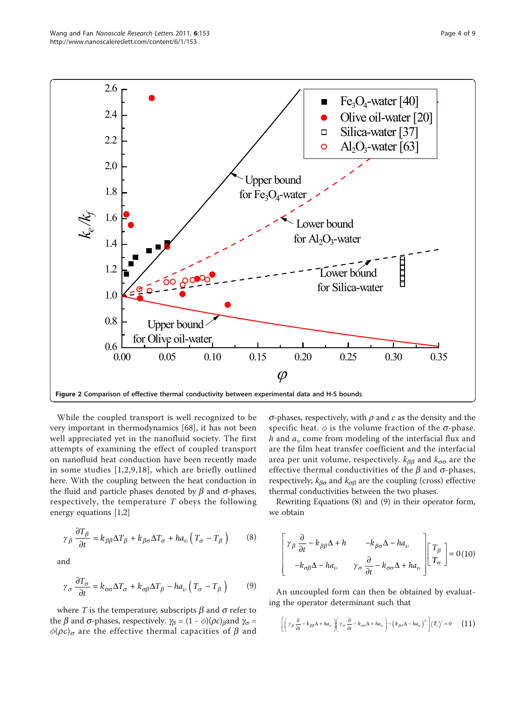<span id="page-3-0"></span>

While the coupled transport is well recognized to be very important in thermodynamics [[68\]](#page-8-0), it has not been well appreciated yet in the nanofluid society. The first attempts of examining the effect of coupled transport on nanofluid heat conduction have been recently made in some studies [[1](#page-7-0),[2,9,18\]](#page-7-0), which are briefly outlined here. With the coupling between the heat conduction in the fluid and particle phases denoted by  $\beta$  and  $\sigma$ -phases, respectively, the temperature  $T$  obeys the following energy equations [\[1,2](#page-7-0)]

$$
\gamma_{\beta} \frac{\partial T_{\beta}}{\partial t} = k_{\beta\beta} \Delta T_{\beta} + k_{\beta\sigma} \Delta T_{\sigma} + ha_{\upsilon} \left( T_{\sigma} - T_{\beta} \right) \tag{8}
$$

and

$$
\gamma_{\sigma} \frac{\partial T_{\sigma}}{\partial t} = k_{\sigma\sigma} \Delta T_{\sigma} + k_{\sigma\beta} \Delta T_{\beta} - ha_{\upsilon} \left( T_{\sigma} - T_{\beta} \right) \tag{9}
$$

where T is the temperature; subscripts  $\beta$  and  $\sigma$  refer to the  $\beta$  and  $\sigma$ -phases, respectively.  $\gamma_{\beta} = (1 - \phi)(\rho c)_{\beta}$ and  $\gamma_{\sigma} =$  $\phi(\rho c)_{\sigma}$  are the effective thermal capacities of  $\beta$  and  $\sigma$ -phases, respectively, with  $\rho$  and c as the density and the specific heat.  $\phi$  is the volume fraction of the  $\sigma$ -phase. h and  $a<sub>v</sub>$  come from modeling of the interfacial flux and are the film heat transfer coefficient and the interfacial area per unit volume, respectively.  $k_{\beta\beta}$  and  $k_{\sigma\sigma}$  are the effective thermal conductivities of the  $\beta$  and  $\sigma$ -phases, respectively;  $k_{\beta\sigma}$  and  $k_{\sigma\beta}$  are the coupling (cross) effective thermal conductivities between the two phases.

Rewriting Equations (8) and (9) in their operator form, we obtain

$$
\begin{bmatrix}\n\gamma_{\beta} \frac{\partial}{\partial t} - k_{\beta \beta} \Delta + h & -k_{\beta \sigma} \Delta - ha_{\upsilon} \\
-k_{\sigma \beta} \Delta - ha_{\upsilon} & \gamma_{\sigma} \frac{\partial}{\partial t} - k_{\sigma \sigma} \Delta + ha_{\upsilon}\n\end{bmatrix}\n\begin{bmatrix}\nT_{\beta} \\
T_{\sigma}\n\end{bmatrix} = 0 \tag{10}
$$

An uncoupled form can then be obtained by evaluating the operator determinant such that

$$
\left[ \left( \gamma_{\beta} \frac{\partial}{\partial t} - k_{\beta \beta} \Delta + h a_{\upsilon} \right) \left( \gamma_{\sigma} \frac{\partial}{\partial t} - k_{\sigma \sigma} \Delta + h a_{\upsilon} \right) - \left( k_{\beta \sigma} \Delta - h a_{\upsilon} \right)^{2} \right] \langle T_{i} \rangle^{i} = 0 \qquad (11)
$$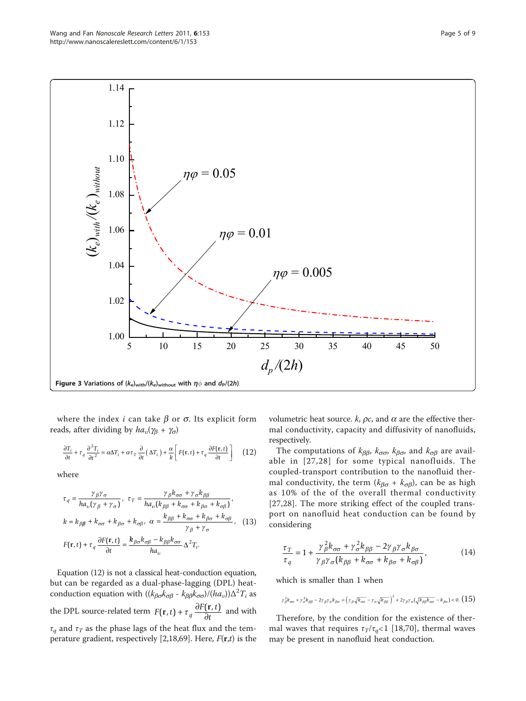<span id="page-4-0"></span>

where the index *i* can take  $\beta$  or  $\sigma$ . Its explicit form reads, after dividing by  $ha<sub>v</sub>(\gamma<sub>β</sub> + \gamma<sub>σ</sub>)$ 

$$
\frac{\partial T_i}{\partial t} + \tau_q \frac{\partial^2 T_i}{\partial t^2} = \alpha \Delta T_i + \alpha \tau_T \frac{\partial}{\partial t} (\Delta T_i) + \frac{\alpha}{k} \left[ F(\mathbf{r}, t) + \tau_q \frac{\partial F(\mathbf{r}, t)}{\partial t} \right] \tag{12}
$$

where

$$
\tau_q = \frac{\gamma_\beta \gamma_\sigma}{h a_\upsilon (\gamma_\beta + \gamma_\sigma)}, \ \tau_T = \frac{\gamma_\beta k_{\sigma\sigma} + \gamma_\sigma k_{\beta\beta}}{h a_\upsilon (k_{\beta\beta} + k_{\sigma\sigma} + k_{\beta\sigma} + k_{\sigma\beta})},
$$
\n
$$
k = k_{\beta\beta} + k_{\sigma\sigma} + k_{\beta\sigma} + k_{\sigma\beta}, \ \alpha = \frac{k_{\beta\beta} + k_{\sigma\sigma} + k_{\beta\sigma} + k_{\sigma\beta}}{\gamma_\beta + \gamma_\sigma}, \ \ (13)
$$
\n
$$
F(\mathbf{r}, t) + \tau_q \frac{\partial F(\mathbf{r}, t)}{\partial t} = \frac{k_{\beta\sigma} k_{\sigma\beta} - k_{\beta\beta} k_{\sigma\sigma}}{h a_\upsilon} \Delta^2 T_i.
$$

Equation (12) is not a classical heat-conduction equation, but can be regarded as a dual-phase-lagging (DPL) heatconduction equation with  $((k_{\beta\sigma}\overline{k_{\sigma\beta}} - k_{\beta\beta}\overline{k_{\sigma\sigma}})/(h\alpha_v))\Delta^2 T_i$  as the DPL source-related term  $F(\mathbf{r}, t) + \tau_q \frac{\partial F(\mathbf{r}, t)}{\partial t}$  and with  $\tau_q$  and  $\tau_T$  as the phase lags of the heat flux and the tem-perature gradient, respectively [\[2,18,](#page-7-0)[69](#page-8-0)]. Here,  $F(\mathbf{r},t)$  is the volumetric heat source.  $k$ ,  $\rho c$ , and  $\alpha$  are the effective thermal conductivity, capacity and diffusivity of nanofluids, respectively.

The computations of  $k_{\beta\beta}$ ,  $k_{\sigma\sigma}$ ,  $k_{\beta\sigma}$ , and  $k_{\sigma\beta}$  are available in [[27](#page-7-0),[28\]](#page-7-0) for some typical nanofluids. The coupled-transport contribution to the nanofluid thermal conductivity, the term  $(k_{\beta\sigma} + k_{\sigma\beta})$ , can be as high as 10% of the of the overall thermal conductivity [[27](#page-7-0),[28\]](#page-7-0). The more striking effect of the coupled transport on nanofluid heat conduction can be found by considering

$$
\frac{\tau_T}{\tau_q} = 1 + \frac{\gamma_\beta^2 k_{\sigma\sigma} + \gamma_\sigma^2 k_{\beta\beta} - 2\gamma_\beta \gamma_\sigma k_{\beta\sigma}}{\gamma_\beta \gamma_\sigma (k_{\beta\beta} + k_{\sigma\sigma} + k_{\beta\sigma} + k_{\sigma\beta})},
$$
(14)

which is smaller than 1 when

$$
\gamma_{\beta}^{2}k_{\sigma\sigma}+\gamma_{\sigma}^{2}k_{\beta\beta}-2\gamma_{\beta}\gamma_{\sigma}k_{\beta\sigma}=\left(\gamma_{\beta}\sqrt{k_{\sigma\sigma}}-\gamma_{\sigma}\sqrt{k_{\beta\beta}}\,\right)^{2}+2\gamma_{\beta}\gamma_{\sigma}(\sqrt{k_{\beta\beta}k_{\sigma\sigma}}-k_{\beta\sigma})<0.\,\left(15\right)
$$

Therefore, by the condition for the existence of thermal waves that requires  $\tau_T/\tau_q$ <1 [[18,](#page-7-0)[70](#page-8-0)], thermal waves may be present in nanofluid heat conduction.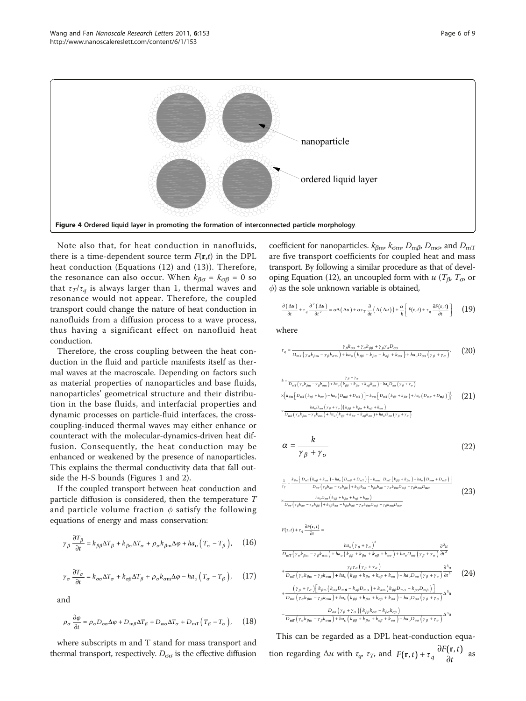<span id="page-5-0"></span>

Note also that, for heat conduction in nanofluids, there is a time-dependent source term  $F(\mathbf{r},t)$  in the DPL heat conduction (Equations (12) and (13)). Therefore, the resonance can also occur. When  $k_{\beta\sigma} = k_{\sigma\beta} = 0$  so that  $\tau_T/\tau_q$  is always larger than 1, thermal waves and resonance would not appear. Therefore, the coupled transport could change the nature of heat conduction in nanofluids from a diffusion process to a wave process, thus having a significant effect on nanofluid heat conduction.

Therefore, the cross coupling between the heat conduction in the fluid and particle manifests itself as thermal waves at the macroscale. Depending on factors such as material properties of nanoparticles and base fluids, nanoparticles' geometrical structure and their distribution in the base fluids, and interfacial properties and dynamic processes on particle-fluid interfaces, the crosscoupling-induced thermal waves may either enhance or counteract with the molecular-dynamics-driven heat diffusion. Consequently, the heat conduction may be enhanced or weakened by the presence of nanoparticles. This explains the thermal conductivity data that fall outside the H-S bounds (Figures [1](#page-2-0) and [2](#page-3-0)).

If the coupled transport between heat conduction and particle diffusion is considered, then the temperature T and particle volume fraction  $\phi$  satisfy the following equations of energy and mass conservation:

$$
\gamma_{\beta} \frac{\partial T_{\beta}}{\partial t} = k_{\beta\beta} \Delta T_{\beta} + k_{\beta\sigma} \Delta T_{\sigma} + \rho_{\sigma} k_{\beta\mathrm{m}} \Delta \varphi + h a_{\upsilon} \left( T_{\sigma} - T_{\beta} \right), \quad (16)
$$

$$
\gamma_{\sigma} \frac{\partial T_{\sigma}}{\partial t} = k_{\sigma\sigma} \Delta T_{\sigma} + k_{\sigma\beta} \Delta T_{\beta} + \rho_{\sigma} k_{\sigma m} \Delta \varphi - ha_{\upsilon} \left( T_{\sigma} - T_{\beta} \right), \quad (17)
$$

and

$$
\rho_{\sigma} \frac{\partial \varphi}{\partial t} = \rho_{\sigma} D_{\sigma \sigma} \Delta \varphi + D_{\rm m} \beta \Delta T_{\beta} + D_{m \sigma} \Delta T_{\sigma} + D_{\rm mT} \left( T_{\beta} - T_{\sigma} \right), \quad (18)
$$

where subscripts m and T stand for mass transport and thermal transport, respectively.  $D_{\sigma\sigma}$  is the effective diffusion coefficient for nanoparticles.  $k_{\beta m}$ ,  $k_{\sigma m}$ ,  $D_{m\beta}$ ,  $D_{m\sigma}$ , and  $D_{mT}$ are five transport coefficients for coupled heat and mass transport. By following a similar procedure as that of developing Equation (12), an uncoupled form with  $u$  ( $T_{\beta}$ ,  $T_{\sigma}$ , or  $\phi$ ) as the sole unknown variable is obtained,

$$
\frac{\partial(\Delta u)}{\partial t} + \tau_q \frac{\partial^2(\Delta u)}{\partial t^2} = \alpha \Delta(\Delta u) + \alpha \tau_T \frac{\partial}{\partial t} (\Delta(\Delta u)) + \frac{\alpha}{k} \left[ F(\mathbf{r}, t) + \tau_q \frac{\partial F(\mathbf{r}, t)}{\partial t} \right] \tag{19}
$$

where

$$
\tau_q = \frac{\gamma_\beta k_{\sigma\sigma} + \gamma_\sigma k_{\beta\beta} + \gamma_\beta \gamma_\sigma D_{\sigma\sigma}}{D_{\rm mT} \left(\gamma_\sigma k_{\beta\rm m} - \gamma_\beta k_{\sigma\rm m}\right) + h a_\upsilon \left(k_{\beta\beta} + k_{\beta\sigma} + k_{\sigma\sigma} + k_{\sigma\sigma}\right) + h a_\upsilon D_{\sigma\sigma} \left(\gamma_\beta + \gamma_\sigma\right)}.
$$
 (20)

$$
k = \frac{\gamma_B + \gamma_\sigma}{D_{\text{mT}} \left(\gamma_\sigma k_{\beta \text{m}} - \gamma_\beta k_{\sigma \text{m}}\right) + ha_\omega \left(k_{\beta \beta} + k_{\beta \sigma} + k_{\sigma \beta} k_{\sigma \sigma}\right) + ha_\omega D_{\infty} \left(\gamma_\beta + \gamma_\sigma\right)}
$$
  

$$
\times \left\{ k_{\beta \text{m}} \left[ D_{\text{mT}} \left(k_{\sigma \beta} + k_{\sigma \sigma}\right) - ha_\omega \left(D_{\text{m}\beta} + D_{\text{mT}}\right) \right] - k_{\sigma \text{m}} \left[ D_{\text{mT}} \left(k_{\beta \beta} + k_{\beta \sigma}\right) + ha_\omega \left(D_{\text{m}\sigma} + D_{\text{m}\beta}\right) \right] \right\} \qquad (21)
$$
  

$$
\times \frac{ha_\omega D_{\infty} \left(\gamma_\beta + \gamma_\sigma\right) \left(k_{\beta \beta} + k_{\beta \sigma} + k_{\sigma \beta} + k_{\sigma \sigma}\right)}{\sum_{\text{mT}} \left(\gamma_\sigma k_{\beta \text{m}} - \gamma_\beta k_{\sigma \text{m}}\right) + ha_\omega \left(k_{\beta \beta} + k_{\beta \sigma} + k_{\sigma \beta} k_{\sigma \sigma}\right) + ha_\omega D_{\infty} \left(\gamma_\beta + \gamma_\sigma\right)}
$$

$$
\alpha = \frac{k}{\gamma_{\beta} + \gamma_{\sigma}}\tag{22}
$$

$$
\begin{array}{l} \frac{1}{\tau_{\tau}}=\frac{k_{\beta m}\left[D_{m\tau}\left(k_{\beta\beta}+k_{\sigma\sigma}\right)-hu_{\nu}\left(D_{m\beta}+D_{m\tau}\right)\right]-k_{\sigma m}\left[D_{m\tau}\left(k_{\beta\beta}+k_{\beta\sigma}\right)+ha_{\nu}\left(D_{m\sigma}+D_{m\beta}\right)\right]}{D_{\sigma\sigma}\left(\gamma_{\beta}k_{\sigma\sigma}-\gamma_{\sigma}k_{\beta\beta}\right)+k_{\beta\beta}k_{\sigma\sigma}-k_{\beta\sigma}k_{\sigma\beta}-\gamma_{\sigma}k_{\beta m}D_{m\beta}-\gamma_{\beta}k_{\sigma m}D_{m\sigma}}\right)}{\mu a_{\nu}D_{\sigma\sigma}\left(k_{\beta\beta}+k_{\beta\sigma}+k_{\sigma\beta}+k_{\sigma\beta}-\gamma_{\sigma}k_{\beta m}D_{m\beta}-\gamma_{\beta}k_{\sigma m}D_{m\sigma}}\right)} \end{array}\tag{23}
$$

$$
F(\mathbf{r},t) + \tau_{q} \frac{\partial F(\mathbf{r},t)}{\partial t} =
$$
\n
$$
\frac{h a_{\upsilon} (\gamma_{\beta} + \gamma_{\sigma})^{2}}{D_{\text{mT}} (\gamma_{\sigma} k_{\beta m} - \gamma_{\beta} k_{\sigma m}) + h a_{\upsilon} (k_{\beta \beta} + k_{\beta \sigma} + k_{\sigma \beta} + h a_{\upsilon} D_{\sigma \sigma} (\gamma_{\beta} + \gamma_{\sigma})} \frac{\partial^{2} u}{\partial t^{2}}
$$
\n
$$
+ \frac{\gamma_{\beta} \gamma_{\sigma} (\gamma_{\beta} + \gamma_{\sigma})}{D_{\text{mT}} (\gamma_{\sigma} k_{\beta m} - \gamma_{\beta} k_{\sigma m}) + h a_{\upsilon} (k_{\beta \beta} + k_{\beta \sigma} + k_{\sigma \beta} + h a_{\upsilon} D_{\sigma \sigma} (\gamma_{\beta} + \gamma_{\sigma})} \frac{\partial^{3} u}{\partial t^{3}}
$$
\n
$$
+ \frac{(\gamma_{\beta} + \gamma_{\sigma}) \Big[ k_{\beta m} (k_{\sigma \sigma} D_{m \beta} - k_{\sigma \beta} D_{m \sigma}) + k_{\sigma m} (k_{\beta \beta} D_{m \sigma} - k_{\beta \sigma} D_{m \beta}) \Big]}{D_{\text{mT}} (\gamma_{\sigma} k_{\beta m} - \gamma_{\beta} k_{\sigma m}) + h a_{\upsilon} (k_{\beta \beta} + k_{\beta \sigma} + k_{\sigma \beta} + h a_{\upsilon} D_{\sigma \sigma} (\gamma_{\beta} + \gamma_{\sigma})} \Delta^{3} u
$$
\n
$$
- \frac{D_{\sigma \sigma} (\gamma_{\beta} + \gamma_{\sigma}) (k_{\beta \beta} k_{\sigma \sigma} - k_{\beta \sigma} k_{\sigma \beta})}{D_{\text{mT}} (\gamma_{\sigma} k_{\beta m} - \gamma_{\beta} k_{\sigma m}) + h a_{\upsilon} (k_{\beta \beta} + k_{\beta \sigma} + k_{\sigma \sigma} + h a_{\upsilon} D_{\sigma \sigma} (\gamma_{\beta} + \gamma_{\sigma})} \Delta^{3} u
$$

This can be regarded as a DPL heat-conduction equation regarding  $\Delta u$  with  $\tau_{\varphi}$   $\tau_T$ , and  $F(\mathbf{r}, t) + \tau_{\varphi} \frac{\partial F(\mathbf{r}, t)}{\partial t}$  as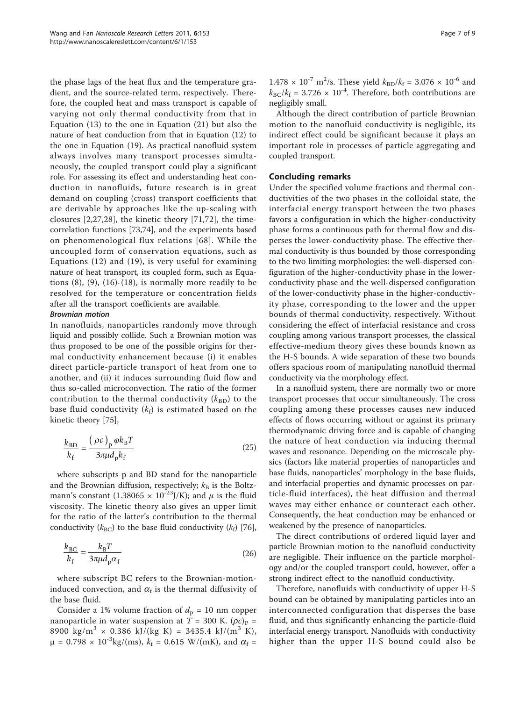the phase lags of the heat flux and the temperature gradient, and the source-related term, respectively. Therefore, the coupled heat and mass transport is capable of varying not only thermal conductivity from that in Equation (13) to the one in Equation (21) but also the nature of heat conduction from that in Equation (12) to the one in Equation (19). As practical nanofluid system always involves many transport processes simultaneously, the coupled transport could play a significant role. For assessing its effect and understanding heat conduction in nanofluids, future research is in great demand on coupling (cross) transport coefficients that are derivable by approaches like the up-scaling with closures [[2,27](#page-7-0),[28\]](#page-7-0), the kinetic theory [[71,72](#page-8-0)], the timecorrelation functions [\[73,74\]](#page-8-0), and the experiments based on phenomenological flux relations [[68](#page-8-0)]. While the uncoupled form of conservation equations, such as Equations (12) and (19), is very useful for examining nature of heat transport, its coupled form, such as Equations  $(8)$ ,  $(9)$ ,  $(16)-(18)$ , is normally more readily to be resolved for the temperature or concentration fields after all the transport coefficients are available.

## Brownian motion

In nanofluids, nanoparticles randomly move through liquid and possibly collide. Such a Brownian motion was thus proposed to be one of the possible origins for thermal conductivity enhancement because (i) it enables direct particle-particle transport of heat from one to another, and (ii) it induces surrounding fluid flow and thus so-called microconvection. The ratio of the former contribution to the thermal conductivity  $(k_{BD})$  to the base fluid conductivity  $(k_f)$  is estimated based on the kinetic theory [[75](#page-8-0)],

$$
\frac{k_{\rm BD}}{k_{\rm f}} = \frac{(\rho c)_{\rm p} \varphi k_{\rm B}T}{3\pi\mu d_{\rm p}k_{\rm f}}
$$
\n(25)

where subscripts p and BD stand for the nanoparticle and the Brownian diffusion, respectively;  $k_B$  is the Boltzmann's constant (1.38065  $\times$  10<sup>-23</sup>J/K); and  $\mu$  is the fluid viscosity. The kinetic theory also gives an upper limit for the ratio of the latter's contribution to the thermal conductivity ( $k_{BC}$ ) to the base fluid conductivity ( $k_f$ ) [[76](#page-8-0)],

$$
\frac{k_{\rm BC}}{k_{\rm f}} = \frac{k_{\rm B}T}{3\pi\mu d_{\rm p}\alpha_{\rm f}}\tag{26}
$$

where subscript BC refers to the Brownian-motioninduced convection, and  $\alpha_f$  is the thermal diffusivity of the base fluid.

Consider a 1% volume fraction of  $d_p = 10$  nm copper nanoparticle in water suspension at  $T = 300$  K.  $(\rho c)_P =$ 8900 kg/m<sup>3</sup> × 0.386 kJ/(kg K) = 3435.4 kJ/(m<sup>3</sup> K),  $\mu = 0.798 \times 10^{-3}$ kg/(ms),  $k_f = 0.615$  W/(mK), and  $\alpha_f =$ 

 $1.478 \times 10^{-7}$  m<sup>2</sup>/s. These yield  $k_{\rm BD}/k_{\rm f} = 3.076 \times 10^{-6}$  and  $k_{\text{BC}}/k_f = 3.726 \times 10^{-4}$ . Therefore, both contributions are negligibly small.

Although the direct contribution of particle Brownian motion to the nanofluid conductivity is negligible, its indirect effect could be significant because it plays an important role in processes of particle aggregating and coupled transport.

# Concluding remarks

Under the specified volume fractions and thermal conductivities of the two phases in the colloidal state, the interfacial energy transport between the two phases favors a configuration in which the higher-conductivity phase forms a continuous path for thermal flow and disperses the lower-conductivity phase. The effective thermal conductivity is thus bounded by those corresponding to the two limiting morphologies: the well-dispersed configuration of the higher-conductivity phase in the lowerconductivity phase and the well-dispersed configuration of the lower-conductivity phase in the higher-conductivity phase, corresponding to the lower and the upper bounds of thermal conductivity, respectively. Without considering the effect of interfacial resistance and cross coupling among various transport processes, the classical effective-medium theory gives these bounds known as the H-S bounds. A wide separation of these two bounds offers spacious room of manipulating nanofluid thermal conductivity via the morphology effect.

In a nanofluid system, there are normally two or more transport processes that occur simultaneously. The cross coupling among these processes causes new induced effects of flows occurring without or against its primary thermodynamic driving force and is capable of changing the nature of heat conduction via inducing thermal waves and resonance. Depending on the microscale physics (factors like material properties of nanoparticles and base fluids, nanoparticles' morphology in the base fluids, and interfacial properties and dynamic processes on particle-fluid interfaces), the heat diffusion and thermal waves may either enhance or counteract each other. Consequently, the heat conduction may be enhanced or weakened by the presence of nanoparticles.

The direct contributions of ordered liquid layer and particle Brownian motion to the nanofluid conductivity are negligible. Their influence on the particle morphology and/or the coupled transport could, however, offer a strong indirect effect to the nanofluid conductivity.

Therefore, nanofluids with conductivity of upper H-S bound can be obtained by manipulating particles into an interconnected configuration that disperses the base fluid, and thus significantly enhancing the particle-fluid interfacial energy transport. Nanofluids with conductivity higher than the upper H-S bound could also be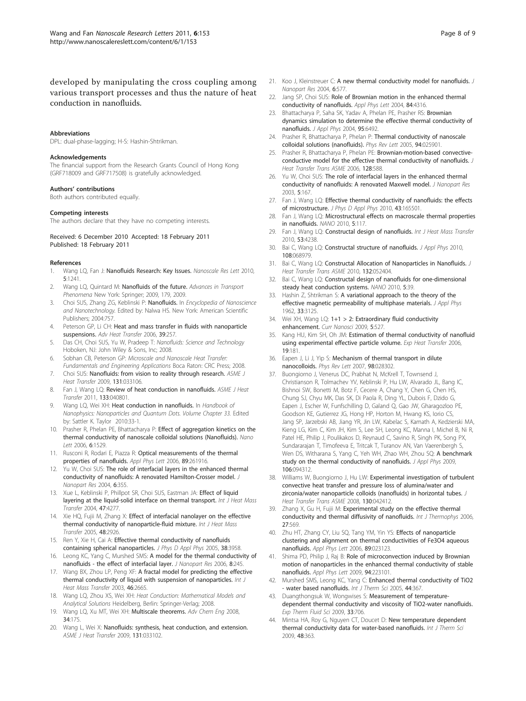#### <span id="page-7-0"></span>Abbreviations

DPL: dual-phase-lagging; H-S: Hashin-Shtrikman.

#### Acknowledgements

The financial support from the Research Grants Council of Hong Kong (GRF718009 and GRF717508) is gratefully acknowledged.

#### Authors' contributions

Both authors contributed equally.

#### Competing interests

The authors declare that they have no competing interests.

#### Received: 6 December 2010 Accepted: 18 February 2011 Published: 18 February 2011

#### References

- 1. Wang LQ, Fan J: [Nanofluids Research: Key Issues.](http://www.ncbi.nlm.nih.gov/pubmed/20676214?dopt=Abstract) Nanoscale Res Lett 2010, 5:1241.
- 2. Wang LQ, Quintard M: Nanofluids of the future. Advances in Transport Phenomena New York: Springer; 2009, 179, 2009.
- 3. Choi SUS, Zhang ZG, Keblinski P: Nanofluids. In Encyclopedia of Nanoscience and Nanotechnology. Edited by: Nalwa HS. New York: American Scientific Publishers; 2004:757.
- 4. Peterson GP, Li CH: Heat and mass transfer in fluids with nanoparticle suspensions. Adv Heat Transfer 2006, 39:257.
- 5. Das CH, Choi SUS, Yu W, Pradeep T: Nanofluids: Science and Technology Hoboken, NJ: John Wiley & Sons, Inc; 2008.
- 6. Sobhan CB, Peterson GP: Microscale and Nanoscale Heat Transfer: Fundamentals and Engineering Applications Boca Raton: CRC Press; 2008.
- 7. Choi SUS: Nanofluids: from vision to reality through research. ASME J Heat Transfer 2009, 131:033106.
- 8. Fan J, Wang LQ: Review of heat conduction in nanofluids. ASME J Heat Transfer 2011, 133:040801.
- 9. Wang LQ, Wei XH: Heat conduction in nanofluids. In Handbook of Nanophysics: Nanoparticles and Quantum Dots. Volume Chapter 33. Edited by: Sattler K. Taylor 2010:33-1.
- 10. Prasher R, Phelan PE, Bhattacharya P: [Effect of aggregation kinetics on the](http://www.ncbi.nlm.nih.gov/pubmed/16834444?dopt=Abstract) [thermal conductivity of nanoscale colloidal solutions \(Nanofluids\).](http://www.ncbi.nlm.nih.gov/pubmed/16834444?dopt=Abstract) Nano Lett 2006, 6:1529.
- 11. Rusconi R, Rodari E, Piazza R: Optical measurements of the thermal properties of nanofluids. Appl Phys Lett 2006, 89:261916.
- 12. Yu W, Choi SUS: The role of interfacial layers in the enhanced thermal conductivity of nanofluids: A renovated Hamilton-Crosser model. J Nanopart Res 2004, 6:355.
- 13. Xue L, Keblinski P, Phillpot SR, Choi SUS, Eastman JA: Effect of liquid layering at the liquid-solid interface on thermal transport. Int J Heat Mass Transfer 2004, 47:4277.
- 14. Xie HQ, Fujii M, Zhang X: Effect of interfacial nanolayer on the effective thermal conductivity of nanoparticle-fluid mixture. Int J Heat Mass Transfer 2005, 48:2926.
- 15. Ren Y, Xie H, Cai A: Effective thermal conductivity of nanofluids containing spherical nanoparticles. J Phys D Appl Phys 2005, 38:3958.
- 16. Leong KC, Yang C, Murshed SMS: A model for the thermal conductivity of nanofluids - the effect of interfacial layer. J Nanopart Res 2006, 8:245.
- 17. Wang BX, Zhou LP, Peng XF: A fractal model for predicting the effective thermal conductivity of liquid with suspension of nanoparticles. Int J Heat Mass Transfer 2003, 46:2665.
- 18. Wang LQ, Zhou XS, Wei XH: Heat Conduction: Mathematical Models and Analytical Solutions Heidelberg, Berlin: Springer-Verlag; 2008.
- 19. Wang LQ, Xu MT, Wei XH: Multiscale theorems. Adv Chem Eng 2008, 34:175.
- 20. Wang L, Wei X: Nanofluids: synthesis, heat conduction, and extension. ASME J Heat Transfer 2009, 131:033102.
- 21. Koo J, Kleinstreuer C: A new thermal conductivity model for nanofluids. J Nanopart Res 2004, 6:577.
- 22. Jang SP, Choi SUS: Role of Brownian motion in the enhanced thermal conductivity of nanofluids. Appl Phys Lett 2004, 84:4316.
- 23. Bhattacharya P, Saha SK, Yadav A, Phelan PE, Prasher RS: Brownian dynamics simulation to determine the effective thermal conductivity of nanofluids. J Appl Phys 2004, 95:6492.
- 24. Prasher R, Bhattacharya P, Phelan P: [Thermal conductivity of nanoscale](http://www.ncbi.nlm.nih.gov/pubmed/15698196?dopt=Abstract) [colloidal solutions \(nanofluids\).](http://www.ncbi.nlm.nih.gov/pubmed/15698196?dopt=Abstract) Phys Rev Lett 2005, 94:025901.
- 25. Prasher R, Bhattacharya P, Phelan PE: Brownian-motion-based convectiveconductive model for the effective thermal conductivity of nanofluids. J Heat Transfer Trans ASME 2006, 128:588.
- 26. Yu W, Choi SUS: The role of interfacial layers in the enhanced thermal conductivity of nanofluids: A renovated Maxwell model. J Nanopart Res 2003, 5:167.
- 27. Fan J, Wang LQ: Effective thermal conductivity of nanofluids: the effects of microstructure. J Phys D Appl Phys 2010, 43:165501.
- 28. Fan J, Wang LQ: Microstructural effects on macroscale thermal properties in nanofluids. NANO 2010, 5:117.
- 29. Fan J, Wang LQ: Constructal design of nanofluids. Int J Heat Mass Transfer 2010, 53:4238.
- 30. Bai C, Wang LQ: Constructal structure of nanofluids. J Appl Phys 2010, 108:068979.
- 31. Bai C, Wang LQ: Constructal Allocation of Nanoparticles in Nanofluids. J Heat Transfer Trans ASME 2010, 132:052404.
- 32. Bai C, Wang LQ: Constructal design of nanofluids for one-dimensional steady heat conduction systems. NANO 2010, 5:39.
- 33. Hashin Z, Shtrikman S: A variational approach to the theory of the effective magnetic permeability of multiphase materials. J Appl Phys 1962, 33:3125.
- 34. Wei XH, Wang LQ: 1+1 > 2: Extraordinary fluid conductivity enhancement. Curr Nanosci 2009, 5:527
- 35. Kang HU, Kim SH, Oh JM: Estimation of thermal conductivity of nanofluid using experimental effective particle volume. Exp Heat Transfer 2006, 19:181.
- 36. Eapen J, Li J, Yip S: [Mechanism of thermal transport in dilute](http://www.ncbi.nlm.nih.gov/pubmed/17358654?dopt=Abstract) [nanocolloids.](http://www.ncbi.nlm.nih.gov/pubmed/17358654?dopt=Abstract) Phys Rev Lett 2007, 98:028302.
- 37. Buongiorno J, Venerus DC, Prabhat N, McKrell T, Townsend J, Christianson R, Tolmachev YV, Keblinski P, Hu LW, Alvarado JL, Bang IC, Bishnoi SW, Bonetti M, Botz F, Cecere A, Chang Y, Chen G, Chen HS, Chung SJ, Chyu MK, Das SK, Di Paola R, Ding YL, Dubois F, Dzido G, Eapen J, Escher W, Funfschilling D, Galand Q, Gao JW, Gharagozloo PE, Goodson KE, Gutierrez JG, Hong HP, Horton M, Hwang KS, Iorio CS, Jang SP, Jarzebski AB, Jiang YR, Jin LW, Kabelac S, Kamath A, Kedzierski MA, Kieng LG, Kim C, Kim JH, Kim S, Lee SH, Leong KC, Manna I, Michel B, Ni R, Patel HE, Philip J, Poulikakos D, Reynaud C, Savino R, Singh PK, Song PX, Sundararajan T, Timofeeva E, Tritcak T, Turanov AN, Van Vaerenbergh S, Wen DS, Witharana S, Yang C, Yeh WH, Zhao WH, Zhou SQ: A benchmark study on the thermal conductivity of nanofluids. J Appl Phys 2009, 106:094312.
- 38. Williams W, Buongiorno J, Hu LW: Experimental investigation of turbulent convective heat transfer and pressure loss of alumina/water and zirconia/water nanoparticle colloids (nanofluids) in horizontal tubes. J Heat Transfer Trans ASME 2008, 130:042412.
- 39. Zhang X, Gu H, Fujii M: Experimental study on the effective thermal conductivity and thermal diffusivity of nanofluids. Int J Thermophys 2006, 27:569.
- 40. Zhu HT, Zhang CY, Liu SQ, Tang YM, Yin YS: Effects of nanoparticle clustering and alignment on thermal conductivities of Fe3O4 aqueous nanofluids. Appl Phys Lett 2006, 89:023123.
- 41. Shima PD, Philip J, Raj B: Role of microconvection induced by Brownian motion of nanoparticles in the enhanced thermal conductivity of stable nanofluids. Appl Phys Lett 2009, 94:223101.
- 42. Murshed SMS, Leong KC, Yang C: Enhanced thermal conductivity of TiO2 water based nanofluids. Int J Therm Sci 2005, 44:367
- 43. Duangthongsuk W, Wongwises S: Measurement of temperaturedependent thermal conductivity and viscosity of TiO2-water nanofluids. Exp Therm Fluid Sci 2009, 33:706.
- 44. Mintsa HA, Roy G, Nguyen CT, Doucet D: New temperature dependent thermal conductivity data for water-based nanofluids. Int J Therm Sci 2009, 48:363.